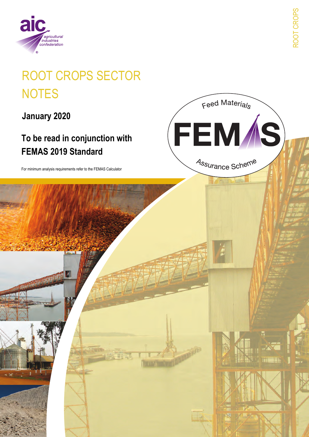

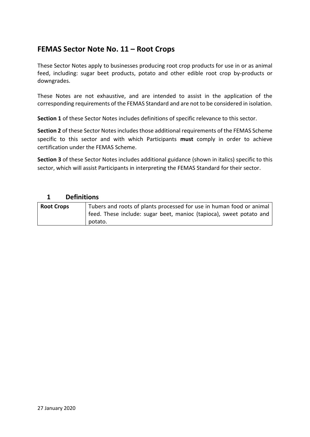## **FEMAS Sector Note No. 11 – Root Crops**

These Sector Notes apply to businesses producing root crop products for use in or as animal feed, including: sugar beet products, potato and other edible root crop by-products or downgrades.

These Notes are not exhaustive, and are intended to assist in the application of the corresponding requirements of the FEMAS Standard and are not to be considered in isolation.

**Section 1** of these Sector Notes includes definitions of specific relevance to this sector.

**Section 2** of these Sector Notes includes those additional requirements of the FEMAS Scheme specific to this sector and with which Participants **must** comply in order to achieve certification under the FEMAS Scheme.

**Section 3** of these Sector Notes includes additional guidance (shown in italics) specific to this sector, which will assist Participants in interpreting the FEMAS Standard for their sector.

## **1 Definitions**

| <b>Root Crops</b> | Tubers and roots of plants processed for use in human food or animal |  |  |
|-------------------|----------------------------------------------------------------------|--|--|
|                   | feed. These include: sugar beet, manioc (tapioca), sweet potato and  |  |  |
|                   | potato.                                                              |  |  |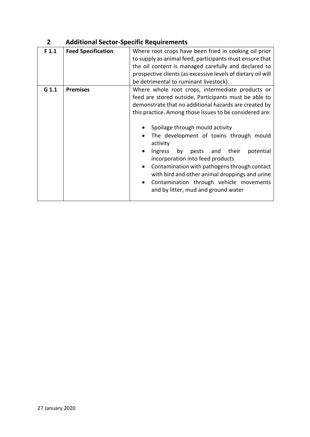| F <sub>1.1</sub> | <b>Feed Specification</b> | Where root crops have been fried in cooking oil prior<br>to supply as animal feed, participants must ensure that<br>the oil content is managed carefully and declared to<br>prospective clients (as excessive levels of dietary oil will<br>be detrimental to ruminant livestock).                                                                                                                                                                                                                                                                                                                                                            |
|------------------|---------------------------|-----------------------------------------------------------------------------------------------------------------------------------------------------------------------------------------------------------------------------------------------------------------------------------------------------------------------------------------------------------------------------------------------------------------------------------------------------------------------------------------------------------------------------------------------------------------------------------------------------------------------------------------------|
| $G$ 1.1          | <b>Premises</b>           | Where whole root crops, intermediate products or<br>feed are stored outside, Participants must be able to<br>demonstrate that no additional hazards are created by<br>this practice. Among those issues to be considered are:<br>Spoilage through mould activity<br>The development of toxins through mould<br>activity<br>their<br>potential<br>pests<br>and<br>Ingress<br>by<br>$\bullet$<br>incorporation into feed products<br>Contamination with pathogens through contact<br>$\bullet$<br>with bird and other animal droppings and urine<br>Contamination through vehicle movements<br>$\bullet$<br>and by litter, mud and ground water |

## **2 Additional Sector-Specific Requirements**